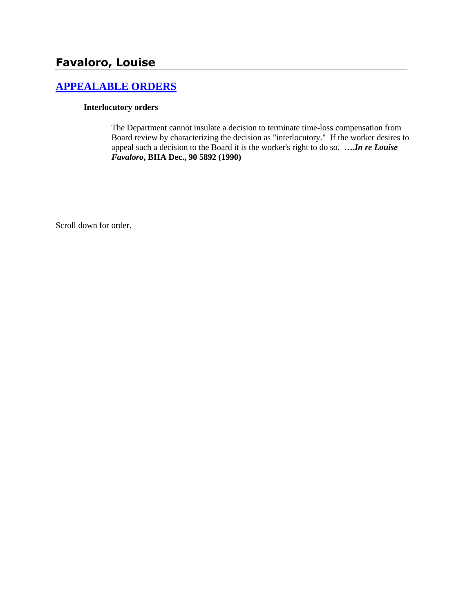# **Favaloro, Louise**

# **[APPEALABLE ORDERS](http://www.biia.wa.gov/SDSubjectIndex.html#APPEALABLE_ORDERS)**

#### **Interlocutory orders**

The Department cannot insulate a decision to terminate time-loss compensation from Board review by characterizing the decision as "interlocutory." If the worker desires to appeal such a decision to the Board it is the worker's right to do so. **….***In re Louise Favaloro***, BIIA Dec., 90 5892 (1990)** 

Scroll down for order.